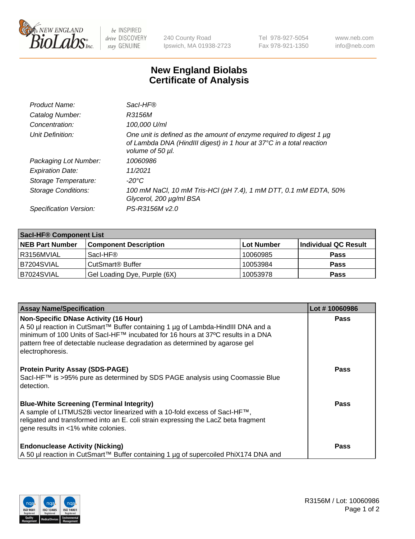

 $be$  INSPIRED drive DISCOVERY stay GENUINE

240 County Road Ipswich, MA 01938-2723 Tel 978-927-5054 Fax 978-921-1350 www.neb.com info@neb.com

## **New England Biolabs Certificate of Analysis**

| Product Name:           | Sacl-HF®                                                                                                                                                        |
|-------------------------|-----------------------------------------------------------------------------------------------------------------------------------------------------------------|
| Catalog Number:         | R3156M                                                                                                                                                          |
| Concentration:          | 100,000 U/ml                                                                                                                                                    |
| Unit Definition:        | One unit is defined as the amount of enzyme required to digest 1 µg<br>of Lambda DNA (HindIII digest) in 1 hour at 37°C in a total reaction<br>volume of 50 µl. |
| Packaging Lot Number:   | 10060986                                                                                                                                                        |
| <b>Expiration Date:</b> | 11/2021                                                                                                                                                         |
| Storage Temperature:    | $-20^{\circ}$ C                                                                                                                                                 |
| Storage Conditions:     | 100 mM NaCl, 10 mM Tris-HCl (pH 7.4), 1 mM DTT, 0.1 mM EDTA, 50%<br>Glycerol, 200 µg/ml BSA                                                                     |
| Specification Version:  | PS-R3156M v2.0                                                                                                                                                  |

| <b>Saci-HF® Component List</b> |                              |            |                      |  |  |
|--------------------------------|------------------------------|------------|----------------------|--|--|
| <b>NEB Part Number</b>         | <b>Component Description</b> | Lot Number | Individual QC Result |  |  |
| I R3156MVIAL                   | Sacl-HF®                     | 10060985   | <b>Pass</b>          |  |  |
| IB7204SVIAL                    | CutSmart <sup>®</sup> Buffer | 10053984   | <b>Pass</b>          |  |  |
| B7024SVIAL                     | Gel Loading Dye, Purple (6X) | 10053978   | <b>Pass</b>          |  |  |

| <b>Assay Name/Specification</b>                                                                                                                                                                                                                                                                                              | Lot #10060986 |
|------------------------------------------------------------------------------------------------------------------------------------------------------------------------------------------------------------------------------------------------------------------------------------------------------------------------------|---------------|
| <b>Non-Specific DNase Activity (16 Hour)</b><br>  A 50 µl reaction in CutSmart™ Buffer containing 1 µg of Lambda-HindIII DNA and a<br>  minimum of 100 Units of Sacl-HF™ incubated for 16 hours at 37°C results in a DNA<br>pattern free of detectable nuclease degradation as determined by agarose gel<br>electrophoresis. | <b>Pass</b>   |
| <b>Protein Purity Assay (SDS-PAGE)</b><br>Sacl-HF™ is >95% pure as determined by SDS PAGE analysis using Coomassie Blue<br>l detection.                                                                                                                                                                                      | <b>Pass</b>   |
| <b>Blue-White Screening (Terminal Integrity)</b><br>A sample of LITMUS28i vector linearized with a 10-fold excess of SacI-HF™,<br>religated and transformed into an E. coli strain expressing the LacZ beta fragment<br>gene results in <1% white colonies.                                                                  | <b>Pass</b>   |
| <b>Endonuclease Activity (Nicking)</b><br>A 50 µl reaction in CutSmart™ Buffer containing 1 µg of supercoiled PhiX174 DNA and                                                                                                                                                                                                | <b>Pass</b>   |